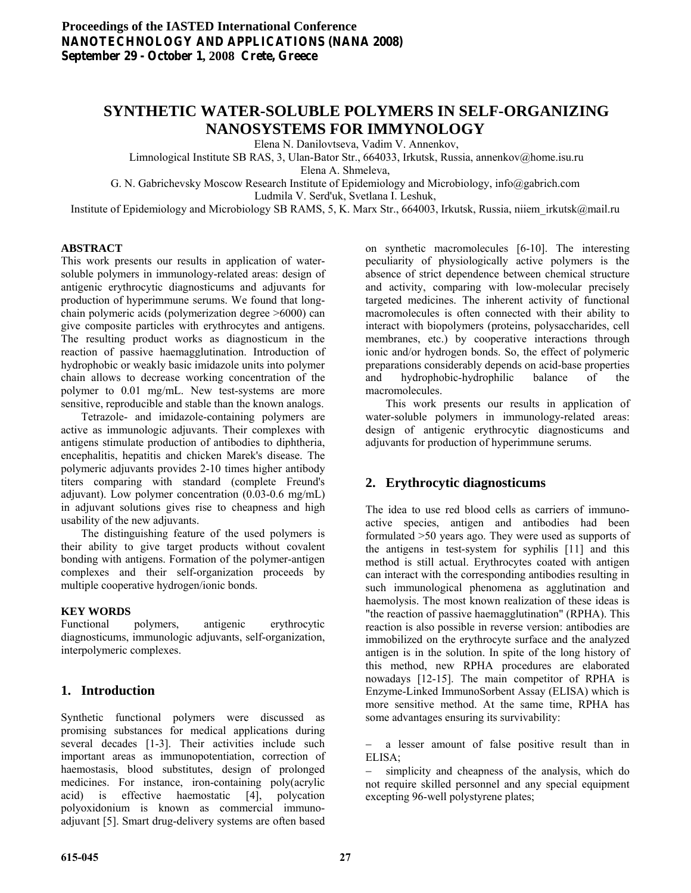# **SYNTHETIC WATER-SOLUBLE POLYMERS IN SELF-ORGANIZING NANOSYSTEMS FOR IMMYNOLOGY**

Elena N. Danilovtseva, Vadim V. Annenkov,

Limnological Institute SB RAS, 3, Ulan-Bator Str., 664033, Irkutsk, Russia, annenkov@home.isu.ru

Elena A. Shmeleva,

G. N. Gabrichevsky Moscow Research Institute of Epidemiology and Microbiology, info@gabrich.com Ludmila V. Serd'uk, Svetlana I. Leshuk,

Institute of Epidemiology and Microbiology SB RAMS, 5, K. Marx Str., 664003, Irkutsk, Russia, niiem\_irkutsk@mail.ru

### **ABSTRACT**

This work presents our results in application of watersoluble polymers in immunology-related areas: design of antigenic erythrocytic diagnosticums and adjuvants for production of hyperimmune serums. We found that longchain polymeric acids (polymerization degree >6000) can give composite particles with erythrocytes and antigens. The resulting product works as diagnosticum in the reaction of passive haemagglutination. Introduction of hydrophobic or weakly basic imidazole units into polymer chain allows to decrease working concentration of the polymer to 0.01 mg/mL. New test-systems are more sensitive, reproducible and stable than the known analogs.

 Tetrazole- and imidazole-containing polymers are active as immunologic adjuvants. Their complexes with antigens stimulate production of antibodies to diphtheria, encephalitis, hepatitis and chicken Marek's disease. The polymeric adjuvants provides 2-10 times higher antibody titers comparing with standard (complete Freund's adjuvant). Low polymer concentration (0.03-0.6 mg/mL) in adjuvant solutions gives rise to cheapness and high usability of the new adjuvants.

 The distinguishing feature of the used polymers is their ability to give target products without covalent bonding with antigens. Formation of the polymer-antigen complexes and their self-organization proceeds by multiple cooperative hydrogen/ionic bonds.

# **KEY WORDS**

Functional polymers, antigenic erythrocytic diagnosticums, immunologic adjuvants, self-organization, interpolymeric complexes.

# **1. Introduction**

Synthetic functional polymers were discussed as promising substances for medical applications during several decades [1-3]. Their activities include such important areas as immunopotentiation, correction of haemostasis, blood substitutes, design of prolonged medicines. For instance, iron-containing poly(acrylic acid) is effective haemostatic [4], polycation polyoxidonium is known as commercial immunoadjuvant [5]. Smart drug-delivery systems are often based

on synthetic macromolecules [6-10]. The interesting peculiarity of physiologically active polymers is the absence of strict dependence between chemical structure and activity, comparing with low-molecular precisely targeted medicines. The inherent activity of functional macromolecules is often connected with their ability to interact with biopolymers (proteins, polysaccharides, cell membranes, etc.) by cooperative interactions through ionic and/or hydrogen bonds. So, the effect of polymeric preparations considerably depends on acid-base properties and hydrophobic-hydrophilic balance of the macromolecules.

 This work presents our results in application of water-soluble polymers in immunology-related areas: design of antigenic erythrocytic diagnosticums and adjuvants for production of hyperimmune serums.

# **2. Erythrocytic diagnosticums**

The idea to use red blood cells as carriers of immunoactive species, antigen and antibodies had been formulated >50 years ago. They were used as supports of the antigens in test-system for syphilis [11] and this method is still actual. Erythrocytes coated with antigen can interact with the corresponding antibodies resulting in such immunological phenomena as agglutination and haemolysis. The most known realization of these ideas is "the reaction of passive haemagglutination" (RPHA). This reaction is also possible in reverse version: antibodies are immobilized on the erythrocyte surface and the analyzed antigen is in the solution. In spite of the long history of this method, new RPHA procedures are elaborated nowadays [12-15]. The main competitor of RPHA is Enzyme-Linked ImmunoSorbent Assay (ELISA) which is more sensitive method. At the same time, RPHA has some advantages ensuring its survivability:

− a lesser amount of false positive result than in ELISA;

− simplicity and cheapness of the analysis, which do not require skilled personnel and any special equipment excepting 96-well polystyrene plates;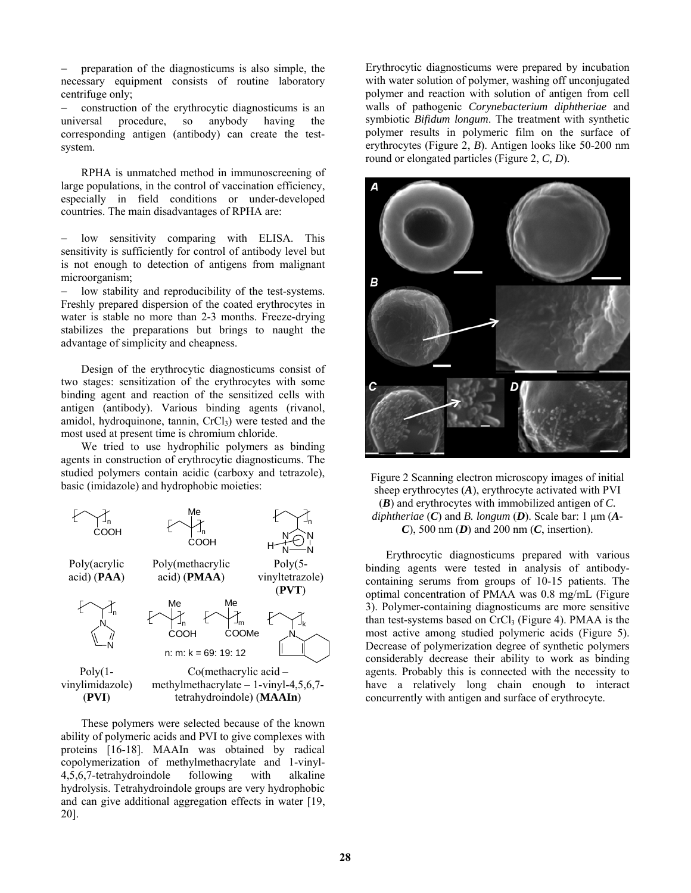− preparation of the diagnosticums is also simple, the necessary equipment consists of routine laboratory centrifuge only;

− construction of the erythrocytic diagnosticums is an universal procedure, so anybody having the corresponding antigen (antibody) can create the testsystem.

 RPHA is unmatched method in immunoscreening of large populations, in the control of vaccination efficiency, especially in field conditions or under-developed countries. The main disadvantages of RPHA are:

low sensitivity comparing with ELISA. This sensitivity is sufficiently for control of antibody level but is not enough to detection of antigens from malignant microorganism;

low stability and reproducibility of the test-systems. Freshly prepared dispersion of the coated erythrocytes in water is stable no more than 2-3 months. Freeze-drying stabilizes the preparations but brings to naught the advantage of simplicity and cheapness.

 Design of the erythrocytic diagnosticums consist of two stages: sensitization of the erythrocytes with some binding agent and reaction of the sensitized cells with antigen (antibody). Various binding agents (rivanol, amidol, hydroquinone, tannin, CrCl<sub>3</sub>) were tested and the most used at present time is chromium chloride.

 We tried to use hydrophilic polymers as binding agents in construction of erythrocytic diagnosticums. The studied polymers contain acidic (carboxy and tetrazole), basic (imidazole) and hydrophobic moieties:



 These polymers were selected because of the known ability of polymeric acids and PVI to give complexes with proteins [16-18]. MAAIn was obtained by radical copolymerization of methylmethacrylate and 1-vinyl-4,5,6,7-tetrahydroindole following with alkaline hydrolysis. Tetrahydroindole groups are very hydrophobic and can give additional aggregation effects in water [19, 20].

Erythrocytic diagnosticums were prepared by incubation with water solution of polymer, washing off unconjugated polymer and reaction with solution of antigen from cell walls of pathogenic *Corynebacterium diphtheriae* and symbiotic *Bifidum longum*. The treatment with synthetic polymer results in polymeric film on the surface of erythrocytes (Figure 2, *B*). Antigen looks like 50-200 nm round or elongated particles (Figure 2, *C, D*).



Figure 2 Scanning electron microscopy images of initial sheep erythrocytes (*A*), erythrocyte activated with PVI (*B*) and erythrocytes with immobilized antigen of *C. diphtheriae* (*C*) and *B. longum* (*D*). Scale bar: 1 μm (*A-C*), 500 nm (*D*) and 200 nm (*C*, insertion).

 Erythrocytic diagnosticums prepared with various binding agents were tested in analysis of antibodycontaining serums from groups of 10-15 patients. The optimal concentration of PMAA was 0.8 mg/mL (Figure 3). Polymer-containing diagnosticums are more sensitive than test-systems based on CrCl<sub>3</sub> (Figure 4). PMAA is the most active among studied polymeric acids (Figure 5). Decrease of polymerization degree of synthetic polymers considerably decrease their ability to work as binding agents. Probably this is connected with the necessity to have a relatively long chain enough to interact concurrently with antigen and surface of erythrocyte.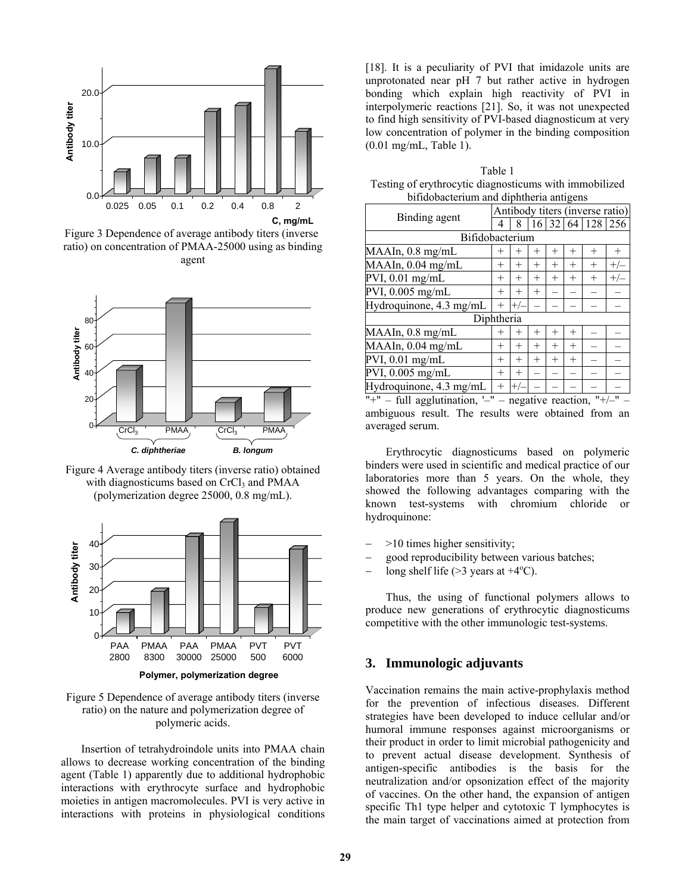

Figure 3 Dependence of average antibody titers (inverse ratio) on concentration of PMAA-25000 using as binding agent



Figure 4 Average antibody titers (inverse ratio) obtained with diagnosticums based on CrCl<sub>3</sub> and PMAA (polymerization degree 25000, 0.8 mg/mL).



**Polymer, polymerization degree**

#### Figure 5 Dependence of average antibody titers (inverse ratio) on the nature and polymerization degree of polymeric acids.

 Insertion of tetrahydroindole units into PMAA chain allows to decrease working concentration of the binding agent (Table 1) apparently due to additional hydrophobic interactions with erythrocyte surface and hydrophobic moieties in antigen macromolecules. PVI is very active in interactions with proteins in physiological conditions [18]. It is a peculiarity of PVI that imidazole units are unprotonated near pH 7 but rather active in hydrogen bonding which explain high reactivity of PVI in interpolymeric reactions [21]. So, it was not unexpected to find high sensitivity of PVI-based diagnosticum at very low concentration of polymer in the binding composition (0.01 mg/mL, Table 1).

Table 1 Testing of erythrocytic diagnosticums with immobilized bifidobacterium and diphtheria antigens

| Binding agent           | Antibody titers (inverse ratio) |        |        |                |        |              |       |  |  |
|-------------------------|---------------------------------|--------|--------|----------------|--------|--------------|-------|--|--|
|                         | 4                               | 8      |        |                |        | 16 32 64 128 | 256   |  |  |
| Bifidobacterium         |                                 |        |        |                |        |              |       |  |  |
| MAAIn, 0.8 mg/mL        | $^+$                            | $^{+}$ | $^{+}$ | $^{+}$         | $^{+}$ | $^{+}$       |       |  |  |
| MAAIn, 0.04 mg/mL       | $^+$                            | $^{+}$ | $^{+}$ | $^{+}$         | $^{+}$ | $^{+}$       | $+/-$ |  |  |
| PVI, $0.01$ mg/mL       | $\overline{+}$                  | $^{+}$ | $^{+}$ | $\overline{+}$ | $^{+}$ | $^{+}$       | $+/-$ |  |  |
| PVI, 0.005 mg/mL        | $\overline{+}$                  | $^{+}$ | $^{+}$ |                |        |              |       |  |  |
| Hydroquinone, 4.3 mg/mL | $^{+}$                          | $+/-$  |        |                |        |              |       |  |  |
| Diphtheria              |                                 |        |        |                |        |              |       |  |  |
| MAAIn, 0.8 mg/mL        | $^{+}$                          | $^{+}$ | $^{+}$ | $^{+}$         | $^{+}$ |              |       |  |  |
| MAAln, 0.04 mg/mL       | $\overline{+}$                  | $^{+}$ | $^{+}$ | $^{+}$         | $^{+}$ |              |       |  |  |
| PVI, 0.01 mg/mL         | $\pm$                           | $^{+}$ | $^{+}$ | $^{+}$         | $^{+}$ |              |       |  |  |
| PVI, 0.005 mg/mL        | $\overline{+}$                  | $^{+}$ |        |                |        |              |       |  |  |
| Hydroquinone, 4.3 mg/mL | $^{+}$                          | $+/-$  |        |                |        |              |       |  |  |

"+" – full agglutination, '-" – negative reaction, "+/-" – ambiguous result. The results were obtained from an averaged serum.

 Erythrocytic diagnosticums based on polymeric binders were used in scientific and medical practice of our laboratories more than 5 years. On the whole, they showed the following advantages comparing with the known test-systems with chromium chloride or hydroquinone:

- − >10 times higher sensitivity;
- − good reproducibility between various batches;
- $-\quad$  long shelf life (>3 years at +4 $\rm ^{o}C$ ).

 Thus, the using of functional polymers allows to produce new generations of erythrocytic diagnosticums competitive with the other immunologic test-systems.

# **3. Immunologic adjuvants**

Vaccination remains the main active-prophylaxis method for the prevention of infectious diseases. Different strategies have been developed to induce cellular and/or humoral immune responses against microorganisms or their product in order to limit microbial pathogenicity and to prevent actual disease development. Synthesis of antigen-specific antibodies is the basis for the neutralization and/or opsonization effect of the majority of vaccines. On the other hand, the expansion of antigen specific Th1 type helper and cytotoxic T lymphocytes is the main target of vaccinations aimed at protection from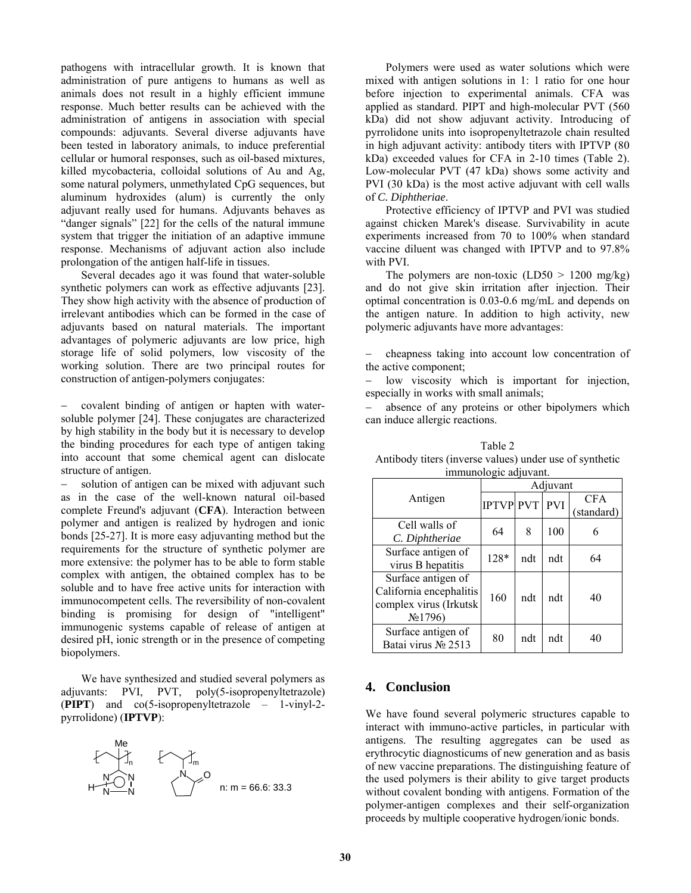pathogens with intracellular growth. It is known that administration of pure antigens to humans as well as animals does not result in a highly efficient immune response. Much better results can be achieved with the administration of antigens in association with special compounds: adjuvants. Several diverse adjuvants have been tested in laboratory animals, to induce preferential cellular or humoral responses, such as oil-based mixtures, killed mycobacteria, colloidal solutions of Au and Ag, some natural polymers, unmethylated CpG sequences, but aluminum hydroxides (alum) is currently the only adjuvant really used for humans. Adjuvants behaves as "danger signals" [22] for the cells of the natural immune system that trigger the initiation of an adaptive immune response. Mechanisms of adjuvant action also include prolongation of the antigen half-life in tissues.

 Several decades ago it was found that water-soluble synthetic polymers can work as effective adjuvants [23]. They show high activity with the absence of production of irrelevant antibodies which can be formed in the case of adjuvants based on natural materials. The important advantages of polymeric adjuvants are low price, high storage life of solid polymers, low viscosity of the working solution. There are two principal routes for construction of antigen-polymers conjugates:

− covalent binding of antigen or hapten with watersoluble polymer [24]. These conjugates are characterized by high stability in the body but it is necessary to develop the binding procedures for each type of antigen taking into account that some chemical agent can dislocate structure of antigen.

− solution of antigen can be mixed with adjuvant such as in the case of the well-known natural oil-based complete Freund's adjuvant (**CFA**). Interaction between polymer and antigen is realized by hydrogen and ionic bonds [25-27]. It is more easy adjuvanting method but the requirements for the structure of synthetic polymer are more extensive: the polymer has to be able to form stable complex with antigen, the obtained complex has to be soluble and to have free active units for interaction with immunocompetent cells. The reversibility of non-covalent binding is promising for design of "intelligent" immunogenic systems capable of release of antigen at desired pH, ionic strength or in the presence of competing biopolymers.

 We have synthesized and studied several polymers as adjuvants: PVI, PVT, poly(5-isopropenyltetrazole) (**PIPT**) and co(5-isopropenyltetrazole – 1-vinyl-2 pyrrolidone) (**IPTVP**):



 Polymers were used as water solutions which were mixed with antigen solutions in 1: 1 ratio for one hour before injection to experimental animals. CFA was applied as standard. PIPT and high-molecular PVT (560 kDa) did not show adjuvant activity. Introducing of pyrrolidone units into isopropenyltetrazole chain resulted in high adjuvant activity: antibody titers with IPTVP (80 kDa) exceeded values for CFA in 2-10 times (Table 2). Low-molecular PVT (47 kDa) shows some activity and PVI (30 kDa) is the most active adjuvant with cell walls of *C. Diphtheriae*.

 Protective efficiency of IPTVP and PVI was studied against chicken Marek's disease. Survivability in acute experiments increased from 70 to 100% when standard vaccine diluent was changed with IPTVP and to 97.8% with PVI.

The polymers are non-toxic  $(LD50 > 1200 \text{ mg/kg})$ and do not give skin irritation after injection. Their optimal concentration is 0.03-0.6 mg/mL and depends on the antigen nature. In addition to high activity, new polymeric adjuvants have more advantages:

− cheapness taking into account low concentration of the active component;

low viscosity which is important for injection, especially in works with small animals;

absence of any proteins or other bipolymers which can induce allergic reactions.

| immunologic adjuvant.                                                                          |                  |     |            |                          |  |  |  |  |  |
|------------------------------------------------------------------------------------------------|------------------|-----|------------|--------------------------|--|--|--|--|--|
|                                                                                                | Adjuvant         |     |            |                          |  |  |  |  |  |
| Antigen                                                                                        | <b>IPTVP PVT</b> |     | <b>PVI</b> | <b>CFA</b><br>(standard) |  |  |  |  |  |
| Cell walls of<br>C. Diphtheriae                                                                | 64               | 8   | 100        | 6                        |  |  |  |  |  |
| Surface antigen of<br>virus B hepatitis                                                        | 128*             | ndt | ndt        | 64                       |  |  |  |  |  |
| Surface antigen of<br>California encephalitis<br>complex virus (Irkutsk<br>N <sub>2</sub> 1796 | 160              | ndt | ndt        | 40                       |  |  |  |  |  |
| Surface antigen of<br>Batai virus № 2513                                                       | 80               | ndt | ndt        | 40                       |  |  |  |  |  |

Table 2 Antibody titers (inverse values) under use of synthetic

# **4. Conclusion**

We have found several polymeric structures capable to interact with immuno-active particles, in particular with antigens. The resulting aggregates can be used as erythrocytic diagnosticums of new generation and as basis of new vaccine preparations. The distinguishing feature of the used polymers is their ability to give target products without covalent bonding with antigens. Formation of the polymer-antigen complexes and their self-organization proceeds by multiple cooperative hydrogen/ionic bonds.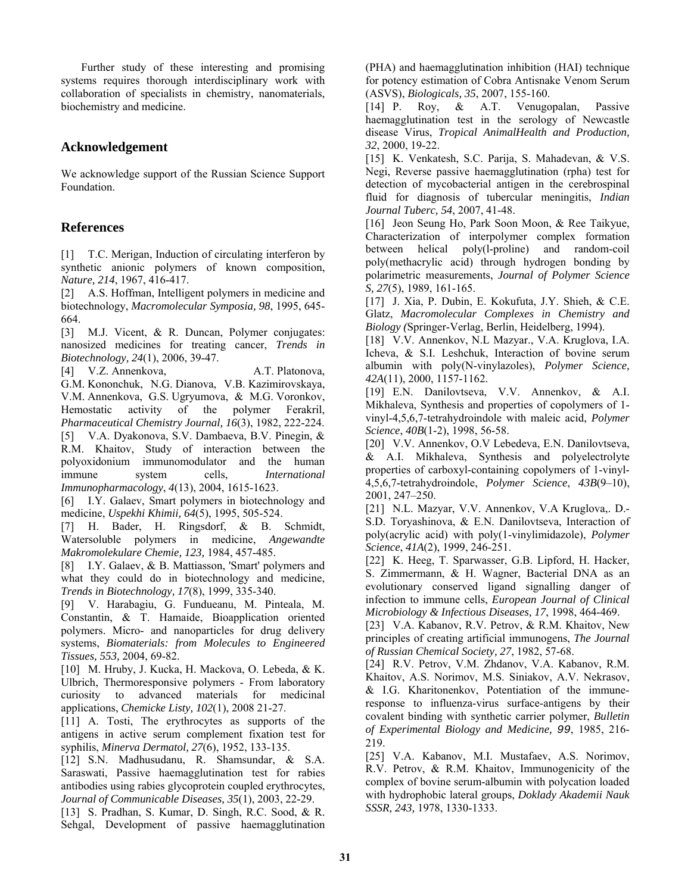Further study of these interesting and promising systems requires thorough interdisciplinary work with collaboration of specialists in chemistry, nanomaterials, biochemistry and medicine.

# **Acknowledgement**

We acknowledge support of the Russian Science Support Foundation.

# **References**

[1] T.C. Merigan, Induction of circulating interferon by synthetic anionic polymers of known composition, *Nature, 214*, 1967, 416-417.

[2] A.S. Hoffman, Intelligent polymers in medicine and biotechnology, *Macromolecular Symposia, 98*, 1995, 645- 664.

[3] M.J. Vicent, & R. Duncan, Polymer conjugates: nanosized medicines for treating cancer, *Trends in Biotechnology, 24*(1), 2006, 39-47.

[4] V.Z. Annenkova, A.T. Platonova, G.M. Kononchuk, N.G. Dianova, V.B. Kazimirovskaya, V.M. Annenkova, G.S. Ugryumova, & M.G. Voronkov, Hemostatic activity of the polymer Ferakril, *Pharmaceutical Chemistry Journal, 16*(3), 1982, 222-224. [5] V.A. Dyakonova, S.V. Dambaeva, B.V. Pinegin, & R.M. Khaitov, Study of interaction between the polyoxidonium immunomodulator and the human immune system cells, *International Immunopharmacology*, *4*(13), 2004, 1615-1623.

[6] I.Y. Galaev, Smart polymers in biotechnology and medicine, *Uspekhi Khimii, 64*(5), 1995, 505-524.

[7] H. Bader, H. Ringsdorf, & B. Schmidt, Watersoluble polymers in medicine, *Angewandte Makromolekulare Chemie, 123,* 1984, 457-485.

[8] I.Y. Galaev, & B. Mattiasson, 'Smart' polymers and what they could do in biotechnology and medicine, *Trends in Biotechnology, 17*(8), 1999, 335-340.

[9] V. Harabagiu, G. Fundueanu, M. Pinteala, M. Constantin, & T. Hamaide, Bioapplication oriented polymers. Micro- and nanoparticles for drug delivery systems, *Biomaterials: from Molecules to Engineered Tissues, 553,* 2004, 69-82.

[10] M. Hruby, J. Kucka, H. Mackova, O. Lebeda, & K. Ulbrich, Thermoresponsive polymers - From laboratory curiosity to advanced materials for medicinal applications, *Chemicke Listy, 102*(1), 2008 21-27.

[11] A. Tosti, The erythrocytes as supports of the antigens in active serum complement fixation test for syphilis, *Minerva Dermatol, 27*(6), 1952, 133-135.

[12] S.N. Madhusudanu, R. Shamsundar, & S.A. Saraswati, Passive haemagglutination test for rabies antibodies using rabies glycoprotein coupled erythrocytes, *Journal of Communicable Diseases, 35*(1), 2003, 22-29.

[13] S. Pradhan, S. Kumar, D. Singh, R.C. Sood, & R. Sehgal, Development of passive haemagglutination (PHA) and haemagglutination inhibition (HAI) technique for potency estimation of Cobra Antisnake Venom Serum (ASVS), *Biologicals, 35*, 2007, 155-160.

[14] P. Roy, & A.T. Venugopalan, Passive haemagglutination test in the serology of Newcastle disease Virus, *Tropical AnimalHealth and Production, 32*, 2000, 19-22.

[15] K. Venkatesh, S.C. Parija, S. Mahadevan, & V.S. Negi, Reverse passive haemagglutination (rpha) test for detection of mycobacterial antigen in the cerebrospinal fluid for diagnosis of tubercular meningitis, *Indian Journal Tuberc, 54*, 2007, 41-48.

[16] Jeon Seung Ho, Park Soon Moon, & Ree Taikyue, Characterization of interpolymer complex formation between helical poly(l-proline) and random-coil poly(methacrylic acid) through hydrogen bonding by polarimetric measurements, *Journal of Polymer Science S, 27*(5), 1989, 161-165.

[17] J. Xia, P. Dubin, E. Kokufuta, J.Y. Shieh, & C.E. Glatz, *Macromolecular Complexes in Chemistry and Biology (*Springer-Verlag, Berlin, Heidelberg, 1994).

[18] V.V. Annenkov, N.L Mazyar., V.A. Kruglova, I.A. Icheva, & S.I. Leshchuk, Interaction of bovine serum albumin with poly(N-vinylazoles), *Polymer Science, 42A*(11), 2000, 1157-1162.

[19] E.N. Danilovtseva, V.V. Annenkov, & A.I. Mikhaleva, Synthesis and properties of copolymers of 1 vinyl-4,5,6,7-tetrahydroindole with maleic acid, *Polymer Science*, *40B*(1-2), 1998, 56-58.

[20] V.V. Annenkov, O.V Lebedeva, E.N. Danilovtseva, & A.I. Mikhaleva, Synthesis and polyelectrolyte properties of carboxyl-containing copolymers of 1-vinyl-4,5,6,7-tetrahydroindole, *Polymer Science*, *43B*(9–10), 2001, 247–250.

[21] N.L. Mazyar, V.V. Annenkov, V.A Kruglova,. D.- S.D. Toryashinova, & E.N. Danilovtseva, Interaction of poly(acrylic acid) with poly(1-vinylimidazole), *Polymer Science*, *41A*(2), 1999, 246-251.

[22] K. Heeg, T. Sparwasser, G.B. Lipford, H. Hacker, S. Zimmermann, & H. Wagner, Bacterial DNA as an evolutionary conserved ligand signalling danger of infection to immune cells, *European Journal of Clinical Microbiology & Infectious Diseases, 17*, 1998, 464-469.

[23] V.A. Kabanov, R.V. Petrov, & R.M. Khaitov, New principles of creating artificial immunogens, *The Journal of Russian Chemical Society, 27*, 1982, 57-68.

[24] R.V. Petrov, V.M. Zhdanov, V.A. Kabanov, R.M. Khaitov, A.S. Norimov, M.S. Siniakov, A.V. Nekrasov, & I.G. Kharitonenkov, Potentiation of the immuneresponse to influenza-virus surface-antigens by their covalent binding with synthetic carrier polymer, *Bulletin of Experimental Biology and Medicine, 99*, 1985, 216- 219.

[25] V.A. Kabanov, M.I. Mustafaev, A.S. Norimov, R.V. Petrov, & R.M. Khaitov, Immunogenicity of the complex of bovine serum-albumin with polycation loaded with hydrophobic lateral groups, *Doklady Akademii Nauk SSSR, 243,* 1978, 1330-1333.